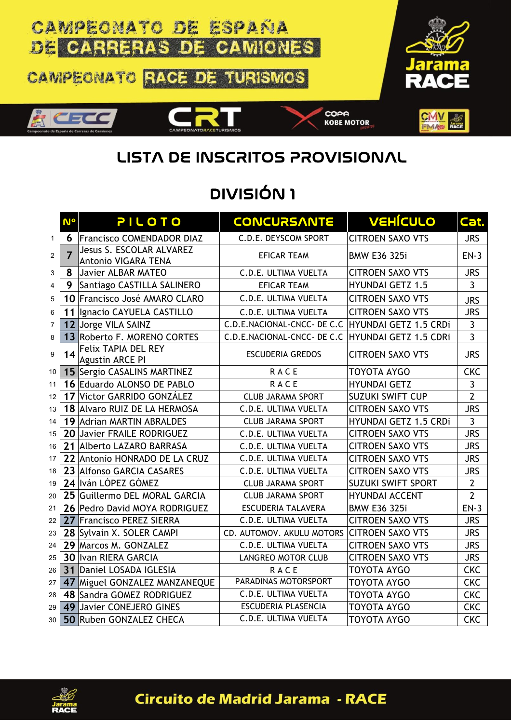

## LISTA DE INSCRITOS PROVISIONAL

## DIVISIÓN 1

|                         | <b>N°</b>      | PILOTO                                          | <b>CONCURSANTE</b>                                | <b>VEHÍCULO</b>           | Cat.           |
|-------------------------|----------------|-------------------------------------------------|---------------------------------------------------|---------------------------|----------------|
| $\mathbf{1}$            | 6.             | <b>Francisco COMENDADOR DIAZ</b>                | C.D.E. DEYSCOM SPORT                              | <b>CITROEN SAXO VTS</b>   | <b>JRS</b>     |
| $\overline{2}$          | $\overline{7}$ | Jesus S. ESCOLAR ALVAREZ<br>Antonio VIGARA TENA | <b>EFICAR TEAM</b>                                | <b>BMW E36 325i</b>       | $EN-3$         |
| 3                       | 8              | Javier ALBAR MATEO                              | C.D.E. ULTIMA VUELTA                              | <b>CITROEN SAXO VTS</b>   | <b>JRS</b>     |
| $\overline{\mathbf{4}}$ | 9              | Santiago CASTILLA SALINERO                      | <b>EFICAR TEAM</b>                                | <b>HYUNDAI GETZ 1.5</b>   | $\overline{3}$ |
| 5                       |                | 10 Francisco José AMARO CLARO                   | C.D.E. ULTIMA VUELTA                              | <b>CITROEN SAXO VTS</b>   | <b>JRS</b>     |
| 6                       | 11             | Ignacio CAYUELA CASTILLO                        | C.D.E. ULTIMA VUELTA                              | <b>CITROEN SAXO VTS</b>   | <b>JRS</b>     |
| $\overline{7}$          |                | 12 Jorge VILA SAINZ                             | C.D.E.NACIONAL-CNCC- DE C.C                       | HYUNDAI GETZ 1.5 CRDi     | $\mathbf{3}$   |
| 8                       |                | 13 Roberto F. MORENO CORTES                     | C.D.E.NACIONAL-CNCC- DE C.C HYUNDAI GETZ 1.5 CDRi |                           | $\overline{3}$ |
| 9                       | 14             | Felix TAPIA DEL REY<br><b>Agustin ARCE PI</b>   | <b>ESCUDERIA GREDOS</b>                           | <b>CITROEN SAXO VTS</b>   | <b>JRS</b>     |
| 10                      |                | 15 Sergio CASALINS MARTINEZ                     | <b>RACE</b>                                       | <b>TOYOTA AYGO</b>        | <b>CKC</b>     |
| 11                      |                | 16 Eduardo ALONSO DE PABLO                      | <b>RACE</b>                                       | <b>HYUNDAI GETZ</b>       | $\mathbf{3}$   |
| 12                      |                | 17 Victor GARRIDO GONZÁLEZ                      | <b>CLUB JARAMA SPORT</b>                          | <b>SUZUKI SWIFT CUP</b>   | $\overline{2}$ |
| 13                      |                | 18 Alvaro RUIZ DE LA HERMOSA                    | C.D.E. ULTIMA VUELTA                              | <b>CITROEN SAXO VTS</b>   | <b>JRS</b>     |
| 14                      |                | 19 Adrian MARTIN ABRALDES                       | <b>CLUB JARAMA SPORT</b>                          | HYUNDAI GETZ 1.5 CRDi     | 3              |
| 15                      |                | 20 Javier FRAILE RODRIGUEZ                      | C.D.E. ULTIMA VUELTA                              | <b>CITROEN SAXO VTS</b>   | <b>JRS</b>     |
| 16                      |                | 21 Alberto LAZARO BARRASA                       | C.D.E. ULTIMA VUELTA                              | <b>CITROEN SAXO VTS</b>   | <b>JRS</b>     |
| 17                      |                | 22 Antonio HONRADO DE LA CRUZ                   | C.D.E. ULTIMA VUELTA                              | <b>CITROEN SAXO VTS</b>   | <b>JRS</b>     |
| 18                      |                | 23 Alfonso GARCIA CASARES                       | C.D.E. ULTIMA VUELTA                              | <b>CITROEN SAXO VTS</b>   | <b>JRS</b>     |
| 19                      |                | 24 Iván LÓPEZ GÓMEZ                             | <b>CLUB JARAMA SPORT</b>                          | <b>SUZUKI SWIFT SPORT</b> | $\overline{2}$ |
| 20                      |                | 25 Guillermo DEL MORAL GARCIA                   | <b>CLUB JARAMA SPORT</b>                          | <b>HYUNDAI ACCENT</b>     | $\overline{2}$ |
| 21                      |                | 26 Pedro David MOYA RODRIGUEZ                   | <b>ESCUDERIA TALAVERA</b>                         | <b>BMW E36 325i</b>       | $EN-3$         |
| 22                      |                | 27 Francisco PEREZ SIERRA                       | C.D.E. ULTIMA VUELTA                              | <b>CITROEN SAXO VTS</b>   | <b>JRS</b>     |
| 23                      |                | 28 Sylvain X. SOLER CAMPI                       | CD. AUTOMOV. AKULU MOTORS                         | <b>CITROEN SAXO VTS</b>   | <b>JRS</b>     |
| 24                      |                | 29 Marcos M. GONZALEZ                           | C.D.E. ULTIMA VUELTA                              | <b>CITROEN SAXO VTS</b>   | <b>JRS</b>     |
| 25                      |                | 30 Ivan RIERA GARCIA                            | LANGREO MOTOR CLUB                                | <b>CITROEN SAXO VTS</b>   | <b>JRS</b>     |
| 26                      |                | 31 Daniel LOSADA IGLESIA                        | RACE                                              | TOYOTA AYGO               | <b>CKC</b>     |
| 27                      |                | 47 Miguel GONZALEZ MANZANEQUE                   | <b>PARADINAS MOTORSPORT</b>                       | TOYOTA AYGO               | <b>CKC</b>     |
| 28                      |                | 48 Sandra GOMEZ RODRIGUEZ                       | C.D.E. ULTIMA VUELTA                              | TOYOTA AYGO               | <b>CKC</b>     |
| 29                      |                | 49 Javier CONEJERO GINES                        | <b>ESCUDERIA PLASENCIA</b>                        | <b>TOYOTA AYGO</b>        | <b>CKC</b>     |
| 30                      |                | 50 Ruben GONZALEZ CHECA                         | <b>C.D.E. ULTIMA VUELTA</b>                       | <b>TOYOTA AYGO</b>        | <b>CKC</b>     |